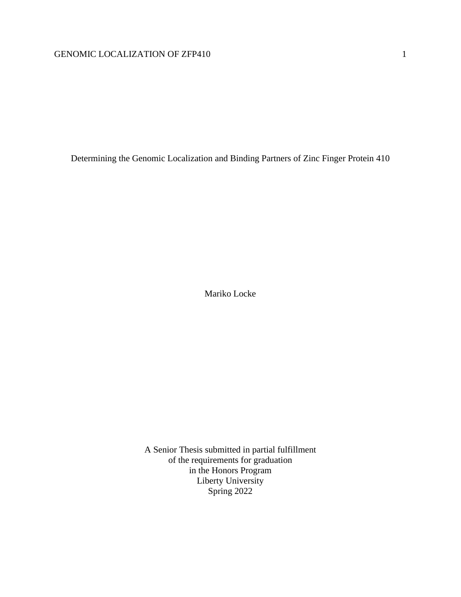Determining the Genomic Localization and Binding Partners of Zinc Finger Protein 410

Mariko Locke

A Senior Thesis submitted in partial fulfillment of the requirements for graduation in the Honors Program Liberty University Spring 2022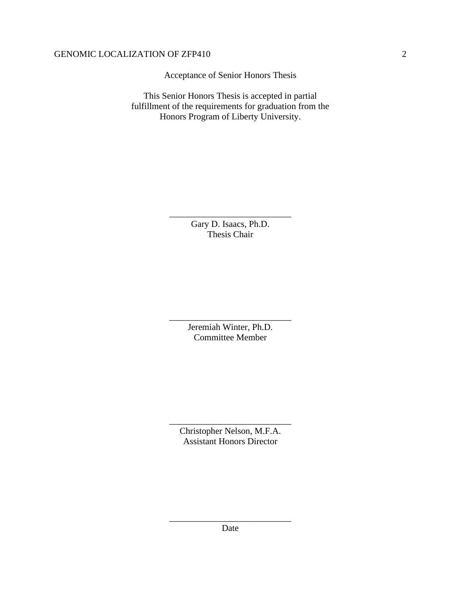Acceptance of Senior Honors Thesis

This Senior Honors Thesis is accepted in partial fulfillment of the requirements for graduation from the Honors Program of Liberty University.

> Gary D. Isaacs, Ph.D. Thesis Chair

\_\_\_\_\_\_\_\_\_\_\_\_\_\_\_\_\_\_\_\_\_\_\_\_\_\_\_

Jeremiah Winter, Ph.D. Committee Member

\_\_\_\_\_\_\_\_\_\_\_\_\_\_\_\_\_\_\_\_\_\_\_\_\_\_\_

Christopher Nelson, M.F.A. Assistant Honors Director

\_\_\_\_\_\_\_\_\_\_\_\_\_\_\_\_\_\_\_\_\_\_\_\_\_\_\_

\_\_\_\_\_\_\_\_\_\_\_\_\_\_\_\_\_\_\_\_\_\_\_\_\_\_\_ Date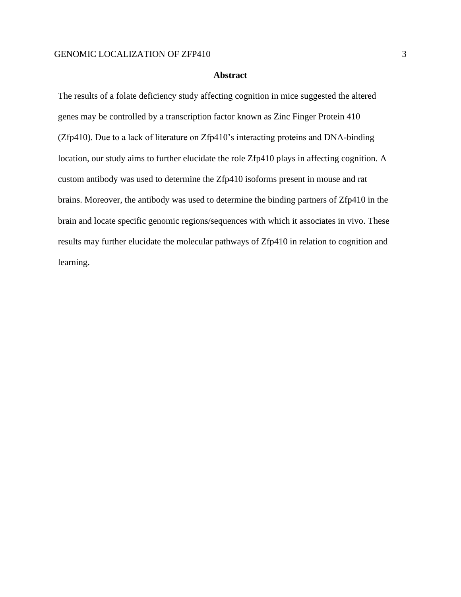## **Abstract**

The results of a folate deficiency study affecting cognition in mice suggested the altered genes may be controlled by a transcription factor known as Zinc Finger Protein 410 (Zfp410). Due to a lack of literature on Zfp410's interacting proteins and DNA-binding location, our study aims to further elucidate the role Zfp410 plays in affecting cognition. A custom antibody was used to determine the Zfp410 isoforms present in mouse and rat brains. Moreover, the antibody was used to determine the binding partners of Zfp410 in the brain and locate specific genomic regions/sequences with which it associates in vivo. These results may further elucidate the molecular pathways of Zfp410 in relation to cognition and learning.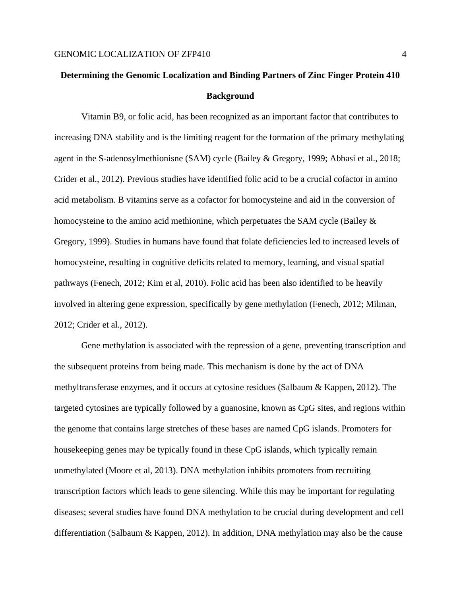# **Determining the Genomic Localization and Binding Partners of Zinc Finger Protein 410 Background**

Vitamin B9, or folic acid, has been recognized as an important factor that contributes to increasing DNA stability and is the limiting reagent for the formation of the primary methylating agent in the S-adenosylmethionisne (SAM) cycle (Bailey & Gregory, 1999; Abbasi et al., 2018; Crider et al., 2012). Previous studies have identified folic acid to be a crucial cofactor in amino acid metabolism. B vitamins serve as a cofactor for homocysteine and aid in the conversion of homocysteine to the amino acid methionine, which perpetuates the SAM cycle (Bailey  $\&$ Gregory, 1999). Studies in humans have found that folate deficiencies led to increased levels of homocysteine, resulting in cognitive deficits related to memory, learning, and visual spatial pathways (Fenech, 2012; Kim et al, 2010). Folic acid has been also identified to be heavily involved in altering gene expression, specifically by gene methylation (Fenech, 2012; Milman, 2012; Crider et al., 2012).

Gene methylation is associated with the repression of a gene, preventing transcription and the subsequent proteins from being made. This mechanism is done by the act of DNA methyltransferase enzymes, and it occurs at cytosine residues (Salbaum & Kappen, 2012). The targeted cytosines are typically followed by a guanosine, known as CpG sites, and regions within the genome that contains large stretches of these bases are named CpG islands. Promoters for housekeeping genes may be typically found in these CpG islands, which typically remain unmethylated (Moore et al, 2013). DNA methylation inhibits promoters from recruiting transcription factors which leads to gene silencing. While this may be important for regulating diseases; several studies have found DNA methylation to be crucial during development and cell differentiation (Salbaum & Kappen, 2012). In addition, DNA methylation may also be the cause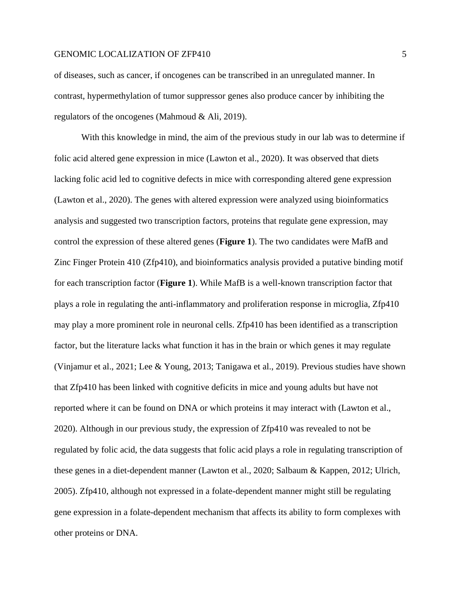of diseases, such as cancer, if oncogenes can be transcribed in an unregulated manner. In contrast, hypermethylation of tumor suppressor genes also produce cancer by inhibiting the regulators of the oncogenes (Mahmoud & Ali, 2019).

With this knowledge in mind, the aim of the previous study in our lab was to determine if folic acid altered gene expression in mice (Lawton et al., 2020). It was observed that diets lacking folic acid led to cognitive defects in mice with corresponding altered gene expression (Lawton et al., 2020). The genes with altered expression were analyzed using bioinformatics analysis and suggested two transcription factors, proteins that regulate gene expression, may control the expression of these altered genes (**Figure 1**). The two candidates were MafB and Zinc Finger Protein 410 (Zfp410), and bioinformatics analysis provided a putative binding motif for each transcription factor (**Figure 1**). While MafB is a well-known transcription factor that plays a role in regulating the anti-inflammatory and proliferation response in microglia, Zfp410 may play a more prominent role in neuronal cells. Zfp410 has been identified as a transcription factor, but the literature lacks what function it has in the brain or which genes it may regulate (Vinjamur et al., 2021; Lee & Young, 2013; Tanigawa et al., 2019). Previous studies have shown that Zfp410 has been linked with cognitive deficits in mice and young adults but have not reported where it can be found on DNA or which proteins it may interact with (Lawton et al., 2020). Although in our previous study, the expression of Zfp410 was revealed to not be regulated by folic acid, the data suggests that folic acid plays a role in regulating transcription of these genes in a diet-dependent manner (Lawton et al., 2020; Salbaum & Kappen, 2012; Ulrich, 2005). Zfp410, although not expressed in a folate-dependent manner might still be regulating gene expression in a folate-dependent mechanism that affects its ability to form complexes with other proteins or DNA.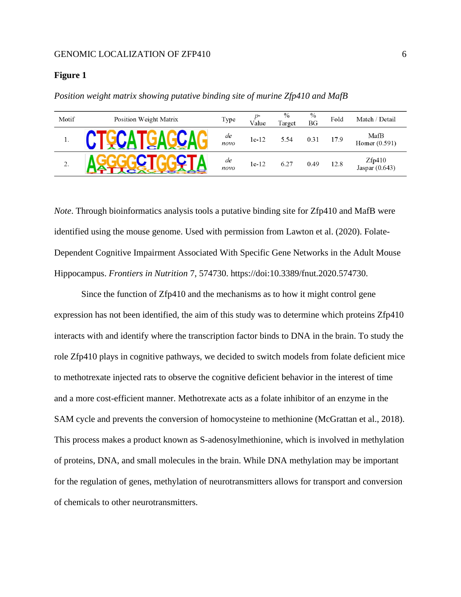#### **Figure 1**

| Motif | Position Weight Matrix | Type       | Value   | $\%$<br>Target | $\%$<br><b>BG</b> | Fold | Match / Detail           |
|-------|------------------------|------------|---------|----------------|-------------------|------|--------------------------|
| 1.    |                        | de<br>novo | $1e-12$ | 5.54           | 0.31              | 17.9 | MafB<br>Homer $(0.591)$  |
| 2.    |                        | de<br>novo | $1e-12$ | 6.27           | 0.49              | 12.8 | Zfp410<br>Jaspar (0.643) |

*Position weight matrix showing putative binding site of murine Zfp410 and MafB*

*Note*. Through bioinformatics analysis tools a putative binding site for Zfp410 and MafB were identified using the mouse genome. Used with permission from Lawton et al. (2020). Folate-Dependent Cognitive Impairment Associated With Specific Gene Networks in the Adult Mouse Hippocampus. *Frontiers in Nutrition* 7, 574730. https://doi:10.3389/fnut.2020.574730.

Since the function of Zfp410 and the mechanisms as to how it might control gene expression has not been identified, the aim of this study was to determine which proteins Zfp410 interacts with and identify where the transcription factor binds to DNA in the brain. To study the role Zfp410 plays in cognitive pathways, we decided to switch models from folate deficient mice to methotrexate injected rats to observe the cognitive deficient behavior in the interest of time and a more cost-efficient manner. Methotrexate acts as a folate inhibitor of an enzyme in the SAM cycle and prevents the conversion of homocysteine to methionine (McGrattan et al., 2018). This process makes a product known as S-adenosylmethionine, which is involved in methylation of proteins, DNA, and small molecules in the brain. While DNA methylation may be important for the regulation of genes, methylation of neurotransmitters allows for transport and conversion of chemicals to other neurotransmitters.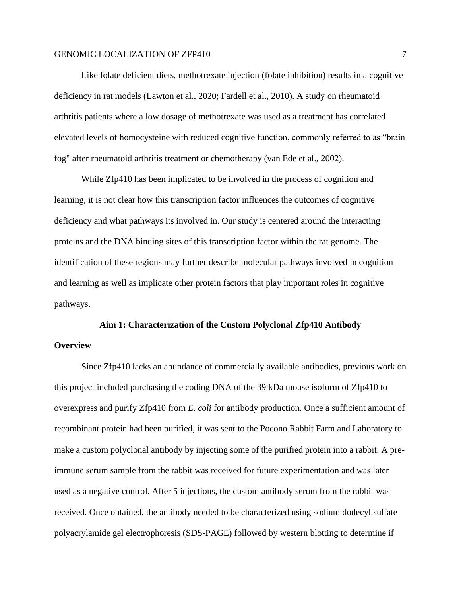Like folate deficient diets, methotrexate injection (folate inhibition) results in a cognitive deficiency in rat models (Lawton et al., 2020; Fardell et al., 2010). A study on rheumatoid arthritis patients where a low dosage of methotrexate was used as a treatment has correlated elevated levels of homocysteine with reduced cognitive function, commonly referred to as "brain fog" after rheumatoid arthritis treatment or chemotherapy (van Ede et al., 2002).

While Zfp410 has been implicated to be involved in the process of cognition and learning, it is not clear how this transcription factor influences the outcomes of cognitive deficiency and what pathways its involved in. Our study is centered around the interacting proteins and the DNA binding sites of this transcription factor within the rat genome. The identification of these regions may further describe molecular pathways involved in cognition and learning as well as implicate other protein factors that play important roles in cognitive pathways.

# **Aim 1: Characterization of the Custom Polyclonal Zfp410 Antibody Overview**

Since Zfp410 lacks an abundance of commercially available antibodies, previous work on this project included purchasing the coding DNA of the 39 kDa mouse isoform of Zfp410 to overexpress and purify Zfp410 from *E. coli* for antibody production*.* Once a sufficient amount of recombinant protein had been purified, it was sent to the Pocono Rabbit Farm and Laboratory to make a custom polyclonal antibody by injecting some of the purified protein into a rabbit. A preimmune serum sample from the rabbit was received for future experimentation and was later used as a negative control. After 5 injections, the custom antibody serum from the rabbit was received. Once obtained, the antibody needed to be characterized using sodium dodecyl sulfate polyacrylamide gel electrophoresis (SDS-PAGE) followed by western blotting to determine if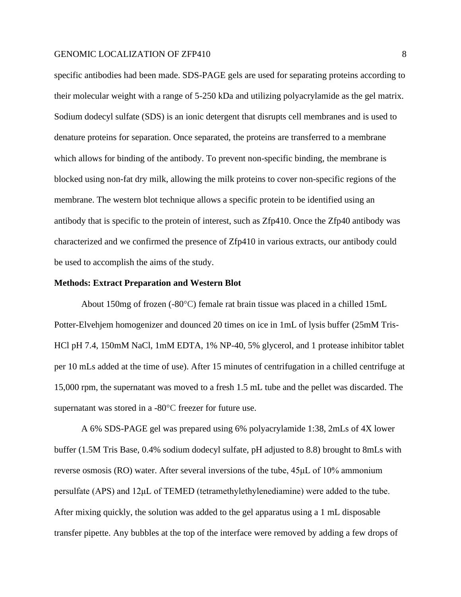specific antibodies had been made. SDS-PAGE gels are used for separating proteins according to their molecular weight with a range of 5-250 kDa and utilizing polyacrylamide as the gel matrix. Sodium dodecyl sulfate (SDS) is an ionic detergent that disrupts cell membranes and is used to denature proteins for separation. Once separated, the proteins are transferred to a membrane which allows for binding of the antibody. To prevent non-specific binding, the membrane is blocked using non-fat dry milk, allowing the milk proteins to cover non-specific regions of the membrane. The western blot technique allows a specific protein to be identified using an antibody that is specific to the protein of interest, such as Zfp410. Once the Zfp40 antibody was characterized and we confirmed the presence of Zfp410 in various extracts, our antibody could be used to accomplish the aims of the study.

#### **Methods: Extract Preparation and Western Blot**

About 150mg of frozen (-80°C) female rat brain tissue was placed in a chilled 15mL Potter-Elvehjem homogenizer and dounced 20 times on ice in 1mL of lysis buffer (25mM Tris-HCl pH 7.4, 150mM NaCl, 1mM EDTA, 1% NP-40, 5% glycerol, and 1 protease inhibitor tablet per 10 mLs added at the time of use). After 15 minutes of centrifugation in a chilled centrifuge at 15,000 rpm, the supernatant was moved to a fresh 1.5 mL tube and the pellet was discarded. The supernatant was stored in a -80°C freezer for future use.

A 6% SDS-PAGE gel was prepared using 6% polyacrylamide 1:38, 2mLs of 4X lower buffer (1.5M Tris Base, 0.4% sodium dodecyl sulfate, pH adjusted to 8.8) brought to 8mLs with reverse osmosis (RO) water. After several inversions of the tube, 45μL of 10% ammonium persulfate (APS) and 12μL of TEMED (tetramethylethylenediamine) were added to the tube. After mixing quickly, the solution was added to the gel apparatus using a 1 mL disposable transfer pipette. Any bubbles at the top of the interface were removed by adding a few drops of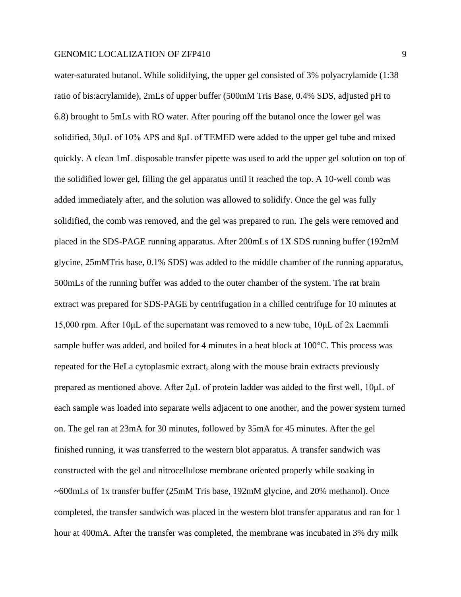water-saturated butanol. While solidifying, the upper gel consisted of 3% polyacrylamide (1:38 ratio of bis:acrylamide), 2mLs of upper buffer (500mM Tris Base, 0.4% SDS, adjusted pH to 6.8) brought to 5mLs with RO water. After pouring off the butanol once the lower gel was solidified, 30μL of 10% APS and 8μL of TEMED were added to the upper gel tube and mixed quickly. A clean 1mL disposable transfer pipette was used to add the upper gel solution on top of the solidified lower gel, filling the gel apparatus until it reached the top. A 10-well comb was added immediately after, and the solution was allowed to solidify. Once the gel was fully solidified, the comb was removed, and the gel was prepared to run. The gels were removed and placed in the SDS-PAGE running apparatus. After 200mLs of 1X SDS running buffer (192mM glycine, 25mMTris base, 0.1% SDS) was added to the middle chamber of the running apparatus, 500mLs of the running buffer was added to the outer chamber of the system. The rat brain extract was prepared for SDS-PAGE by centrifugation in a chilled centrifuge for 10 minutes at 15,000 rpm. After 10μL of the supernatant was removed to a new tube, 10μL of 2x Laemmli sample buffer was added, and boiled for 4 minutes in a heat block at 100°C. This process was repeated for the HeLa cytoplasmic extract, along with the mouse brain extracts previously prepared as mentioned above. After 2μL of protein ladder was added to the first well, 10μL of each sample was loaded into separate wells adjacent to one another, and the power system turned on. The gel ran at 23mA for 30 minutes, followed by 35mA for 45 minutes. After the gel finished running, it was transferred to the western blot apparatus. A transfer sandwich was constructed with the gel and nitrocellulose membrane oriented properly while soaking in ~600mLs of 1x transfer buffer (25mM Tris base, 192mM glycine, and 20% methanol). Once completed, the transfer sandwich was placed in the western blot transfer apparatus and ran for 1 hour at 400mA. After the transfer was completed, the membrane was incubated in 3% dry milk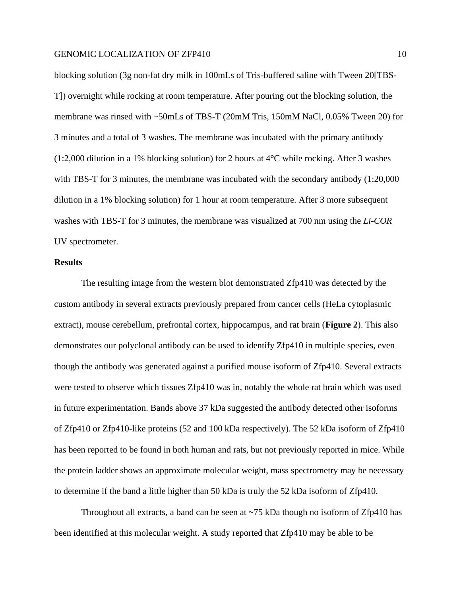blocking solution (3g non-fat dry milk in 100mLs of Tris-buffered saline with Tween 20[TBS-T]) overnight while rocking at room temperature. After pouring out the blocking solution, the membrane was rinsed with ~50mLs of TBS-T (20mM Tris, 150mM NaCl, 0.05% Tween 20) for 3 minutes and a total of 3 washes. The membrane was incubated with the primary antibody (1:2,000 dilution in a 1% blocking solution) for 2 hours at 4°C while rocking. After 3 washes with TBS-T for 3 minutes, the membrane was incubated with the secondary antibody  $(1:20,000)$ dilution in a 1% blocking solution) for 1 hour at room temperature. After 3 more subsequent washes with TBS-T for 3 minutes, the membrane was visualized at 700 nm using the *Li-COR* UV spectrometer.

## **Results**

The resulting image from the western blot demonstrated Zfp410 was detected by the custom antibody in several extracts previously prepared from cancer cells (HeLa cytoplasmic extract), mouse cerebellum, prefrontal cortex, hippocampus, and rat brain (**Figure 2**). This also demonstrates our polyclonal antibody can be used to identify Zfp410 in multiple species, even though the antibody was generated against a purified mouse isoform of Zfp410. Several extracts were tested to observe which tissues Zfp410 was in, notably the whole rat brain which was used in future experimentation. Bands above 37 kDa suggested the antibody detected other isoforms of Zfp410 or Zfp410-like proteins (52 and 100 kDa respectively). The 52 kDa isoform of Zfp410 has been reported to be found in both human and rats, but not previously reported in mice. While the protein ladder shows an approximate molecular weight, mass spectrometry may be necessary to determine if the band a little higher than 50 kDa is truly the 52 kDa isoform of Zfp410.

Throughout all extracts, a band can be seen at  $\sim$ 75 kDa though no isoform of Zfp410 has been identified at this molecular weight. A study reported that Zfp410 may be able to be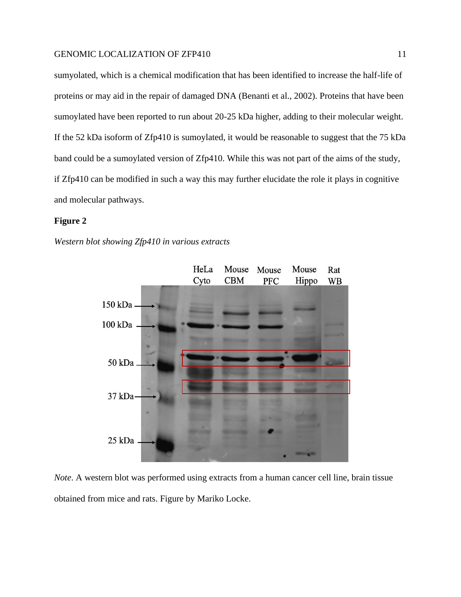sumyolated, which is a chemical modification that has been identified to increase the half-life of proteins or may aid in the repair of damaged DNA (Benanti et al., 2002). Proteins that have been sumoylated have been reported to run about 20-25 kDa higher, adding to their molecular weight. If the 52 kDa isoform of Zfp410 is sumoylated, it would be reasonable to suggest that the 75 kDa band could be a sumoylated version of Zfp410. While this was not part of the aims of the study, if Zfp410 can be modified in such a way this may further elucidate the role it plays in cognitive and molecular pathways.

#### **Figure 2**

*Western blot showing Zfp410 in various extracts*



*Note*. A western blot was performed using extracts from a human cancer cell line, brain tissue obtained from mice and rats. Figure by Mariko Locke.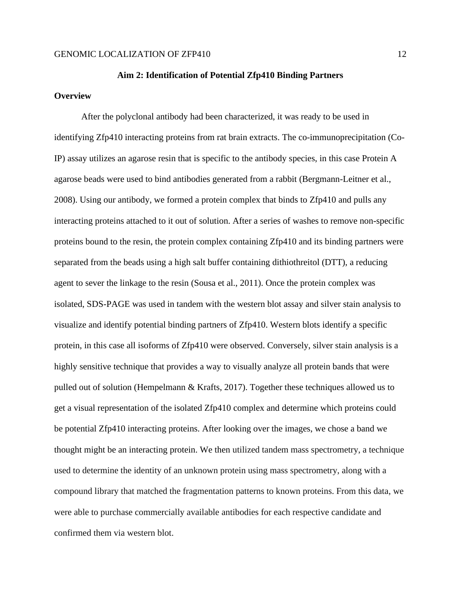## **Aim 2: Identification of Potential Zfp410 Binding Partners**

## **Overview**

After the polyclonal antibody had been characterized, it was ready to be used in identifying Zfp410 interacting proteins from rat brain extracts. The co-immunoprecipitation (Co-IP) assay utilizes an agarose resin that is specific to the antibody species, in this case Protein A agarose beads were used to bind antibodies generated from a rabbit (Bergmann-Leitner et al., 2008). Using our antibody, we formed a protein complex that binds to Zfp410 and pulls any interacting proteins attached to it out of solution. After a series of washes to remove non-specific proteins bound to the resin, the protein complex containing Zfp410 and its binding partners were separated from the beads using a high salt buffer containing dithiothreitol (DTT), a reducing agent to sever the linkage to the resin (Sousa et al., 2011). Once the protein complex was isolated, SDS-PAGE was used in tandem with the western blot assay and silver stain analysis to visualize and identify potential binding partners of Zfp410. Western blots identify a specific protein, in this case all isoforms of Zfp410 were observed. Conversely, silver stain analysis is a highly sensitive technique that provides a way to visually analyze all protein bands that were pulled out of solution (Hempelmann & Krafts, 2017). Together these techniques allowed us to get a visual representation of the isolated Zfp410 complex and determine which proteins could be potential Zfp410 interacting proteins. After looking over the images, we chose a band we thought might be an interacting protein. We then utilized tandem mass spectrometry, a technique used to determine the identity of an unknown protein using mass spectrometry, along with a compound library that matched the fragmentation patterns to known proteins. From this data, we were able to purchase commercially available antibodies for each respective candidate and confirmed them via western blot.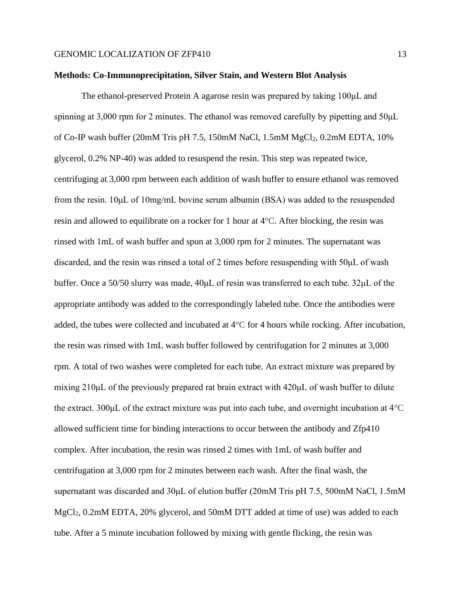#### **Methods: Co-Immunoprecipitation, Silver Stain, and Western Blot Analysis**

The ethanol-preserved Protein A agarose resin was prepared by taking 100μL and spinning at 3,000 rpm for 2 minutes. The ethanol was removed carefully by pipetting and 50μL of Co-IP wash buffer (20mM Tris pH 7.5, 150mM NaCl, 1.5mM  $MgCl_2$ , 0.2mM EDTA, 10% glycerol, 0.2% NP-40) was added to resuspend the resin. This step was repeated twice, centrifuging at 3,000 rpm between each addition of wash buffer to ensure ethanol was removed from the resin. 10μL of 10mg/mL bovine serum albumin (BSA) was added to the resuspended resin and allowed to equilibrate on a rocker for 1 hour at 4°C. After blocking, the resin was rinsed with 1mL of wash buffer and spun at 3,000 rpm for 2 minutes. The supernatant was discarded, and the resin was rinsed a total of 2 times before resuspending with 50μL of wash buffer. Once a 50/50 slurry was made, 40μL of resin was transferred to each tube. 32μL of the appropriate antibody was added to the correspondingly labeled tube. Once the antibodies were added, the tubes were collected and incubated at  $4^{\circ}$ C for 4 hours while rocking. After incubation, the resin was rinsed with 1mL wash buffer followed by centrifugation for 2 minutes at 3,000 rpm. A total of two washes were completed for each tube. An extract mixture was prepared by mixing 210μL of the previously prepared rat brain extract with 420μL of wash buffer to dilute the extract. 300μL of the extract mixture was put into each tube, and overnight incubation at 4°C allowed sufficient time for binding interactions to occur between the antibody and Zfp410 complex. After incubation, the resin was rinsed 2 times with 1mL of wash buffer and centrifugation at 3,000 rpm for 2 minutes between each wash. After the final wash, the supernatant was discarded and 30μL of elution buffer (20mM Tris pH 7.5, 500mM NaCl, 1.5mM MgCl<sub>2</sub>, 0.2mM EDTA, 20% glycerol, and 50mM DTT added at time of use) was added to each tube. After a 5 minute incubation followed by mixing with gentle flicking, the resin was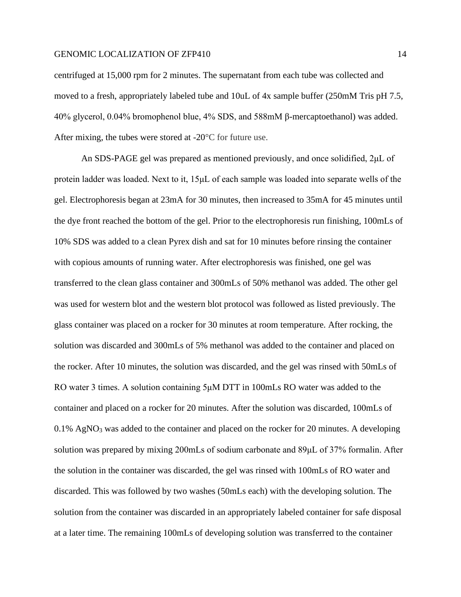centrifuged at 15,000 rpm for 2 minutes. The supernatant from each tube was collected and moved to a fresh, appropriately labeled tube and 10uL of 4x sample buffer (250mM Tris pH 7.5, 40% glycerol, 0.04% bromophenol blue, 4% SDS, and 588mM β-mercaptoethanol) was added. After mixing, the tubes were stored at -20°C for future use.

An SDS-PAGE gel was prepared as mentioned previously, and once solidified, 2μL of protein ladder was loaded. Next to it, 15μL of each sample was loaded into separate wells of the gel. Electrophoresis began at 23mA for 30 minutes, then increased to 35mA for 45 minutes until the dye front reached the bottom of the gel. Prior to the electrophoresis run finishing, 100mLs of 10% SDS was added to a clean Pyrex dish and sat for 10 minutes before rinsing the container with copious amounts of running water. After electrophoresis was finished, one gel was transferred to the clean glass container and 300mLs of 50% methanol was added. The other gel was used for western blot and the western blot protocol was followed as listed previously. The glass container was placed on a rocker for 30 minutes at room temperature. After rocking, the solution was discarded and 300mLs of 5% methanol was added to the container and placed on the rocker. After 10 minutes, the solution was discarded, and the gel was rinsed with 50mLs of RO water 3 times. A solution containing 5μM DTT in 100mLs RO water was added to the container and placed on a rocker for 20 minutes. After the solution was discarded, 100mLs of 0.1% AgNO<sup>3</sup> was added to the container and placed on the rocker for 20 minutes. A developing solution was prepared by mixing 200mLs of sodium carbonate and 89μL of 37% formalin. After the solution in the container was discarded, the gel was rinsed with 100mLs of RO water and discarded. This was followed by two washes (50mLs each) with the developing solution. The solution from the container was discarded in an appropriately labeled container for safe disposal at a later time. The remaining 100mLs of developing solution was transferred to the container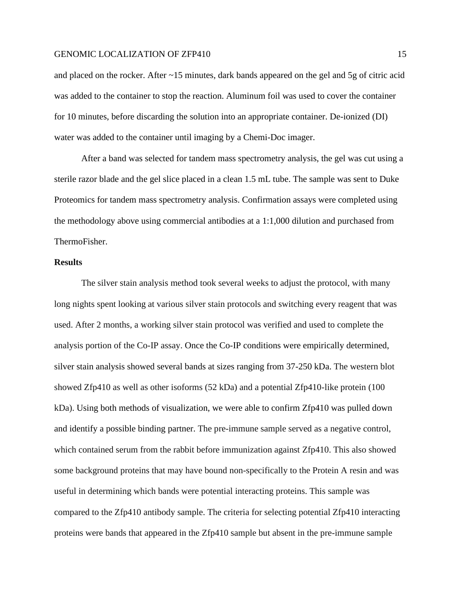and placed on the rocker. After ~15 minutes, dark bands appeared on the gel and 5g of citric acid was added to the container to stop the reaction. Aluminum foil was used to cover the container for 10 minutes, before discarding the solution into an appropriate container. De-ionized (DI) water was added to the container until imaging by a Chemi-Doc imager.

After a band was selected for tandem mass spectrometry analysis, the gel was cut using a sterile razor blade and the gel slice placed in a clean 1.5 mL tube. The sample was sent to Duke Proteomics for tandem mass spectrometry analysis. Confirmation assays were completed using the methodology above using commercial antibodies at a 1:1,000 dilution and purchased from ThermoFisher.

## **Results**

The silver stain analysis method took several weeks to adjust the protocol, with many long nights spent looking at various silver stain protocols and switching every reagent that was used. After 2 months, a working silver stain protocol was verified and used to complete the analysis portion of the Co-IP assay. Once the Co-IP conditions were empirically determined, silver stain analysis showed several bands at sizes ranging from 37-250 kDa. The western blot showed Zfp410 as well as other isoforms (52 kDa) and a potential Zfp410-like protein (100 kDa). Using both methods of visualization, we were able to confirm Zfp410 was pulled down and identify a possible binding partner. The pre-immune sample served as a negative control, which contained serum from the rabbit before immunization against Zfp410. This also showed some background proteins that may have bound non-specifically to the Protein A resin and was useful in determining which bands were potential interacting proteins. This sample was compared to the Zfp410 antibody sample. The criteria for selecting potential Zfp410 interacting proteins were bands that appeared in the Zfp410 sample but absent in the pre-immune sample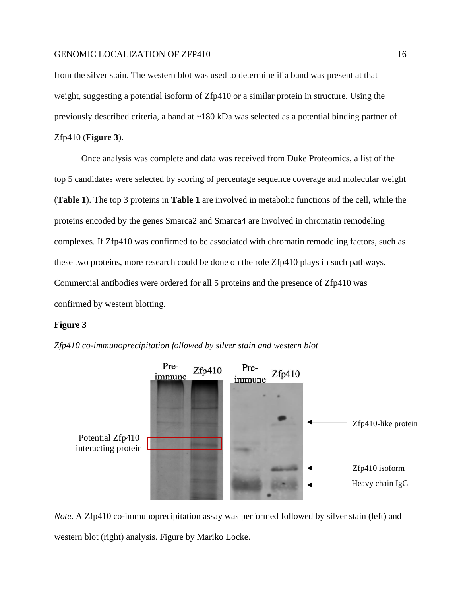from the silver stain. The western blot was used to determine if a band was present at that weight, suggesting a potential isoform of Zfp410 or a similar protein in structure. Using the previously described criteria, a band at ~180 kDa was selected as a potential binding partner of Zfp410 (**Figure 3**).

Once analysis was complete and data was received from Duke Proteomics, a list of the top 5 candidates were selected by scoring of percentage sequence coverage and molecular weight (**Table 1**). The top 3 proteins in **Table 1** are involved in metabolic functions of the cell, while the proteins encoded by the genes Smarca2 and Smarca4 are involved in chromatin remodeling complexes. If Zfp410 was confirmed to be associated with chromatin remodeling factors, such as these two proteins, more research could be done on the role Zfp410 plays in such pathways. Commercial antibodies were ordered for all 5 proteins and the presence of Zfp410 was confirmed by western blotting.

### **Figure 3**

*Zfp410 co-immunoprecipitation followed by silver stain and western blot*



*Note*. A Zfp410 co-immunoprecipitation assay was performed followed by silver stain (left) and western blot (right) analysis. Figure by Mariko Locke.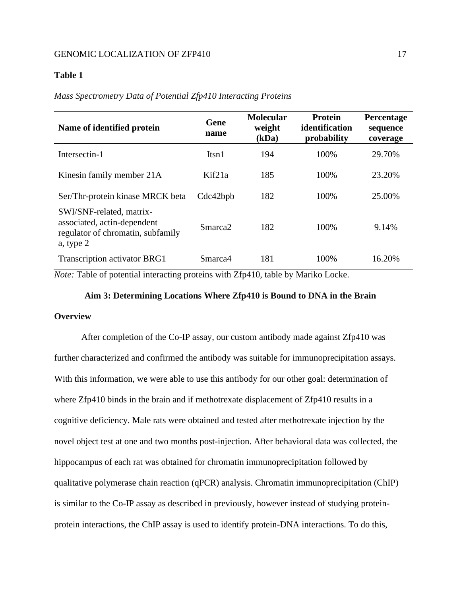## **Table 1**

#### *Mass Spectrometry Data of Potential Zfp410 Interacting Proteins*

| Name of identified protein                                                                                | Gene<br>name        | <b>Molecular</b><br>weight<br>(kDa) | Protein<br>identification<br>probability | Percentage<br>sequence<br>coverage |
|-----------------------------------------------------------------------------------------------------------|---------------------|-------------------------------------|------------------------------------------|------------------------------------|
| Intersectin-1                                                                                             | Itsn1               | 194                                 | 100%                                     | 29.70%                             |
| Kinesin family member 21A                                                                                 | Kif21a              | 185                                 | 100%                                     | 23.20%                             |
| Ser/Thr-protein kinase MRCK beta                                                                          | Cdc42bpb            | 182                                 | 100%                                     | 25.00%                             |
| SWI/SNF-related, matrix-<br>associated, actin-dependent<br>regulator of chromatin, subfamily<br>a, type 2 | Smarca <sub>2</sub> | 182                                 | 100%                                     | 9.14%                              |
| <b>Transcription activator BRG1</b>                                                                       | Smarca4             | 181                                 | 100\%                                    | 16.20%                             |

*Note:* Table of potential interacting proteins with Zfp410, table by Mariko Locke.

## **Aim 3: Determining Locations Where Zfp410 is Bound to DNA in the Brain**

### **Overview**

After completion of the Co-IP assay, our custom antibody made against Zfp410 was further characterized and confirmed the antibody was suitable for immunoprecipitation assays. With this information, we were able to use this antibody for our other goal: determination of where Zfp410 binds in the brain and if methotrexate displacement of Zfp410 results in a cognitive deficiency. Male rats were obtained and tested after methotrexate injection by the novel object test at one and two months post-injection. After behavioral data was collected, the hippocampus of each rat was obtained for chromatin immunoprecipitation followed by qualitative polymerase chain reaction (qPCR) analysis. Chromatin immunoprecipitation (ChIP) is similar to the Co-IP assay as described in previously, however instead of studying proteinprotein interactions, the ChIP assay is used to identify protein-DNA interactions. To do this,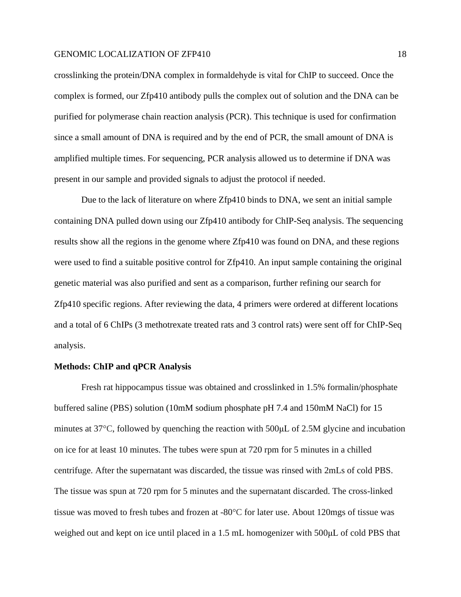crosslinking the protein/DNA complex in formaldehyde is vital for ChIP to succeed. Once the complex is formed, our Zfp410 antibody pulls the complex out of solution and the DNA can be purified for polymerase chain reaction analysis (PCR). This technique is used for confirmation since a small amount of DNA is required and by the end of PCR, the small amount of DNA is amplified multiple times. For sequencing, PCR analysis allowed us to determine if DNA was present in our sample and provided signals to adjust the protocol if needed.

Due to the lack of literature on where Zfp410 binds to DNA, we sent an initial sample containing DNA pulled down using our Zfp410 antibody for ChIP-Seq analysis. The sequencing results show all the regions in the genome where Zfp410 was found on DNA, and these regions were used to find a suitable positive control for Zfp410. An input sample containing the original genetic material was also purified and sent as a comparison, further refining our search for Zfp410 specific regions. After reviewing the data, 4 primers were ordered at different locations and a total of 6 ChIPs (3 methotrexate treated rats and 3 control rats) were sent off for ChIP-Seq analysis.

#### **Methods: ChIP and qPCR Analysis**

Fresh rat hippocampus tissue was obtained and crosslinked in 1.5% formalin/phosphate buffered saline (PBS) solution (10mM sodium phosphate pH 7.4 and 150mM NaCl) for 15 minutes at 37°C, followed by quenching the reaction with 500μL of 2.5M glycine and incubation on ice for at least 10 minutes. The tubes were spun at 720 rpm for 5 minutes in a chilled centrifuge. After the supernatant was discarded, the tissue was rinsed with 2mLs of cold PBS. The tissue was spun at 720 rpm for 5 minutes and the supernatant discarded. The cross-linked tissue was moved to fresh tubes and frozen at -80°C for later use. About 120mgs of tissue was weighed out and kept on ice until placed in a 1.5 mL homogenizer with 500μL of cold PBS that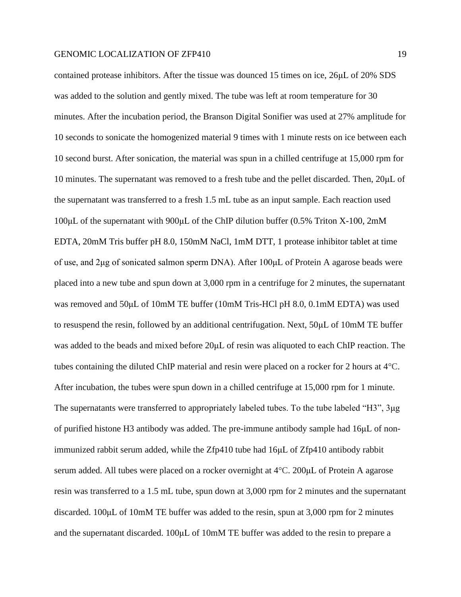contained protease inhibitors. After the tissue was dounced 15 times on ice, 26μL of 20% SDS was added to the solution and gently mixed. The tube was left at room temperature for 30 minutes. After the incubation period, the Branson Digital Sonifier was used at 27% amplitude for 10 seconds to sonicate the homogenized material 9 times with 1 minute rests on ice between each 10 second burst. After sonication, the material was spun in a chilled centrifuge at 15,000 rpm for 10 minutes. The supernatant was removed to a fresh tube and the pellet discarded. Then, 20μL of the supernatant was transferred to a fresh 1.5 mL tube as an input sample. Each reaction used 100μL of the supernatant with 900μL of the ChIP dilution buffer (0.5% Triton X-100, 2mM EDTA, 20mM Tris buffer pH 8.0, 150mM NaCl, 1mM DTT, 1 protease inhibitor tablet at time of use, and 2μg of sonicated salmon sperm DNA). After 100μL of Protein A agarose beads were placed into a new tube and spun down at 3,000 rpm in a centrifuge for 2 minutes, the supernatant was removed and 50µL of 10mM TE buffer (10mM Tris-HCl pH 8.0, 0.1mM EDTA) was used to resuspend the resin, followed by an additional centrifugation. Next, 50μL of 10mM TE buffer was added to the beads and mixed before 20μL of resin was aliquoted to each ChIP reaction. The tubes containing the diluted ChIP material and resin were placed on a rocker for 2 hours at 4°C. After incubation, the tubes were spun down in a chilled centrifuge at 15,000 rpm for 1 minute. The supernatants were transferred to appropriately labeled tubes. To the tube labeled "H3", 3μg of purified histone H3 antibody was added. The pre-immune antibody sample had 16μL of nonimmunized rabbit serum added, while the Zfp410 tube had 16μL of Zfp410 antibody rabbit serum added. All tubes were placed on a rocker overnight at 4°C. 200μL of Protein A agarose resin was transferred to a 1.5 mL tube, spun down at 3,000 rpm for 2 minutes and the supernatant discarded. 100μL of 10mM TE buffer was added to the resin, spun at 3,000 rpm for 2 minutes and the supernatant discarded. 100μL of 10mM TE buffer was added to the resin to prepare a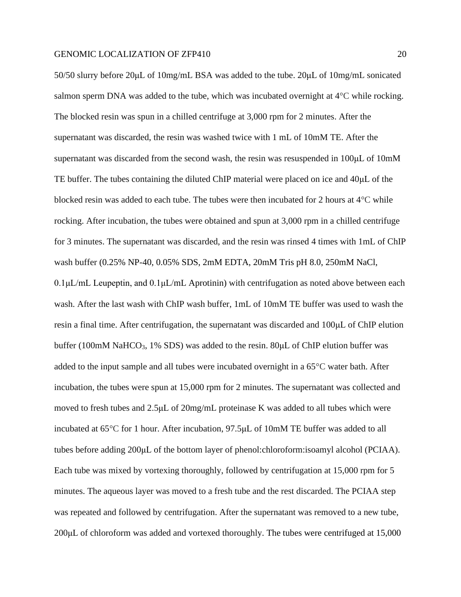50/50 slurry before 20μL of 10mg/mL BSA was added to the tube. 20μL of 10mg/mL sonicated salmon sperm DNA was added to the tube, which was incubated overnight at 4°C while rocking. The blocked resin was spun in a chilled centrifuge at 3,000 rpm for 2 minutes. After the supernatant was discarded, the resin was washed twice with 1 mL of 10mM TE. After the supernatant was discarded from the second wash, the resin was resuspended in 100μL of 10mM TE buffer. The tubes containing the diluted ChIP material were placed on ice and 40μL of the blocked resin was added to each tube. The tubes were then incubated for 2 hours at  $4^{\circ}$ C while rocking. After incubation, the tubes were obtained and spun at 3,000 rpm in a chilled centrifuge for 3 minutes. The supernatant was discarded, and the resin was rinsed 4 times with 1mL of ChIP wash buffer (0.25% NP-40, 0.05% SDS, 2mM EDTA, 20mM Tris pH 8.0, 250mM NaCl,  $0.1 \mu L/mL$  Leupeptin, and  $0.1 \mu L/mL$  Aprotinin) with centrifugation as noted above between each wash. After the last wash with ChIP wash buffer, 1mL of 10mM TE buffer was used to wash the resin a final time. After centrifugation, the supernatant was discarded and 100μL of ChIP elution buffer (100mM NaHCO<sub>3</sub>, 1% SDS) was added to the resin. 80 $\mu$ L of ChIP elution buffer was added to the input sample and all tubes were incubated overnight in a 65°C water bath. After incubation, the tubes were spun at 15,000 rpm for 2 minutes. The supernatant was collected and moved to fresh tubes and 2.5μL of 20mg/mL proteinase K was added to all tubes which were incubated at 65°C for 1 hour. After incubation, 97.5μL of 10mM TE buffer was added to all tubes before adding 200μL of the bottom layer of phenol:chloroform:isoamyl alcohol (PCIAA). Each tube was mixed by vortexing thoroughly, followed by centrifugation at 15,000 rpm for 5 minutes. The aqueous layer was moved to a fresh tube and the rest discarded. The PCIAA step was repeated and followed by centrifugation. After the supernatant was removed to a new tube, 200μL of chloroform was added and vortexed thoroughly. The tubes were centrifuged at 15,000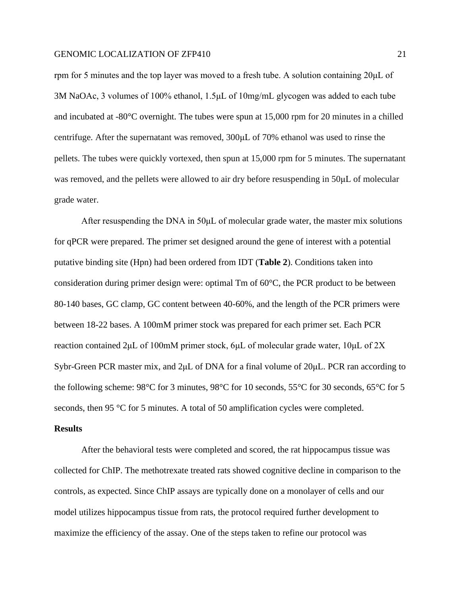rpm for 5 minutes and the top layer was moved to a fresh tube. A solution containing 20μL of 3M NaOAc, 3 volumes of 100% ethanol, 1.5μL of 10mg/mL glycogen was added to each tube and incubated at -80°C overnight. The tubes were spun at 15,000 rpm for 20 minutes in a chilled centrifuge. After the supernatant was removed, 300μL of 70% ethanol was used to rinse the pellets. The tubes were quickly vortexed, then spun at 15,000 rpm for 5 minutes. The supernatant was removed, and the pellets were allowed to air dry before resuspending in 50μL of molecular grade water.

After resuspending the DNA in 50μL of molecular grade water, the master mix solutions for qPCR were prepared. The primer set designed around the gene of interest with a potential putative binding site (Hpn) had been ordered from IDT (**Table 2**). Conditions taken into consideration during primer design were: optimal Tm of 60°C, the PCR product to be between 80-140 bases, GC clamp, GC content between 40-60%, and the length of the PCR primers were between 18-22 bases. A 100mM primer stock was prepared for each primer set. Each PCR reaction contained 2μL of 100mM primer stock, 6μL of molecular grade water, 10μL of 2X Sybr-Green PCR master mix, and 2μL of DNA for a final volume of 20μL. PCR ran according to the following scheme: 98°C for 3 minutes, 98°C for 10 seconds, 55°C for 30 seconds, 65°C for 5 seconds, then 95 °C for 5 minutes. A total of 50 amplification cycles were completed.

## **Results**

After the behavioral tests were completed and scored, the rat hippocampus tissue was collected for ChIP. The methotrexate treated rats showed cognitive decline in comparison to the controls, as expected. Since ChIP assays are typically done on a monolayer of cells and our model utilizes hippocampus tissue from rats, the protocol required further development to maximize the efficiency of the assay. One of the steps taken to refine our protocol was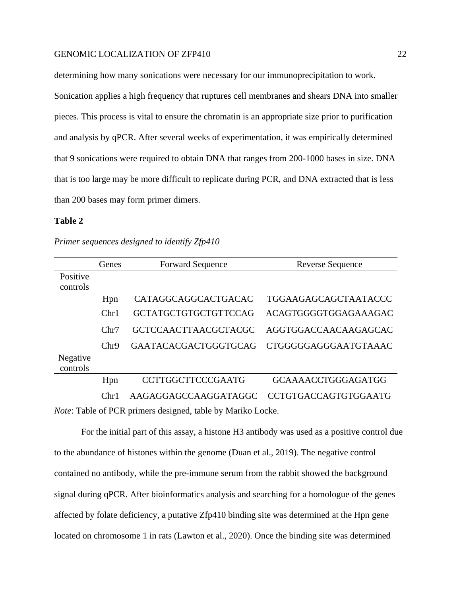determining how many sonications were necessary for our immunoprecipitation to work.

Sonication applies a high frequency that ruptures cell membranes and shears DNA into smaller pieces. This process is vital to ensure the chromatin is an appropriate size prior to purification and analysis by qPCR. After several weeks of experimentation, it was empirically determined that 9 sonications were required to obtain DNA that ranges from 200-1000 bases in size. DNA that is too large may be more difficult to replicate during PCR, and DNA extracted that is less than 200 bases may form primer dimers.

#### **Table 2**

|                      | Genes | <b>Forward Sequence</b>     | <b>Reverse Sequence</b>     |
|----------------------|-------|-----------------------------|-----------------------------|
| Positive<br>controls |       |                             |                             |
|                      | Hpn   | CATAGGCAGGCACTGACAC         | TGGAAGAGCAGCTAATACCC        |
|                      | Chr1  | <b>GCTATGCTGTGCTGTTCCAG</b> | ACAGTGGGGTGGAGAAAGAC        |
|                      | Chr7  | <b>GCTCCAACTTAACGCTACGC</b> | AGGTGGACCAACAAGAGCAC        |
|                      | Chr9  | <b>GAATACACGACTGGGTGCAG</b> | CTGGGGGAGGGAATGTAAAC        |
| Negative<br>controls |       |                             |                             |
|                      | Hpn   | <b>CCTTGGCTTCCCGAATG</b>    | <b>GCAAAACCTGGGAGATGG</b>   |
|                      | Chr1  | AAGAGGAGCCAAGGATAGGC        | <b>CCTGTGACCAGTGTGGAATG</b> |

*Primer sequences designed to identify Zfp410*

*Note*: Table of PCR primers designed, table by Mariko Locke.

For the initial part of this assay, a histone H3 antibody was used as a positive control due to the abundance of histones within the genome (Duan et al., 2019). The negative control contained no antibody, while the pre-immune serum from the rabbit showed the background signal during qPCR. After bioinformatics analysis and searching for a homologue of the genes affected by folate deficiency, a putative Zfp410 binding site was determined at the Hpn gene located on chromosome 1 in rats (Lawton et al., 2020). Once the binding site was determined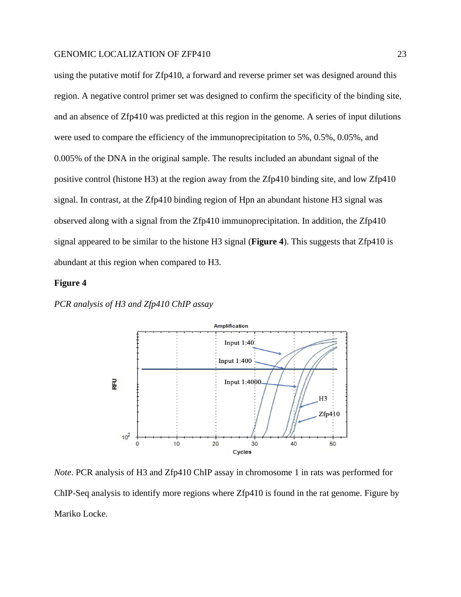using the putative motif for Zfp410, a forward and reverse primer set was designed around this region. A negative control primer set was designed to confirm the specificity of the binding site, and an absence of Zfp410 was predicted at this region in the genome. A series of input dilutions were used to compare the efficiency of the immunoprecipitation to 5%, 0.5%, 0.05%, and 0.005% of the DNA in the original sample. The results included an abundant signal of the positive control (histone H3) at the region away from the Zfp410 binding site, and low Zfp410 signal. In contrast, at the Zfp410 binding region of Hpn an abundant histone H3 signal was observed along with a signal from the Zfp410 immunoprecipitation. In addition, the Zfp410 signal appeared to be similar to the histone H3 signal (**Figure 4**). This suggests that Zfp410 is abundant at this region when compared to H3.

#### **Figure 4**

*PCR analysis of H3 and Zfp410 ChIP assay*



*Note*. PCR analysis of H3 and Zfp410 ChIP assay in chromosome 1 in rats was performed for ChIP-Seq analysis to identify more regions where Zfp410 is found in the rat genome. Figure by Mariko Locke.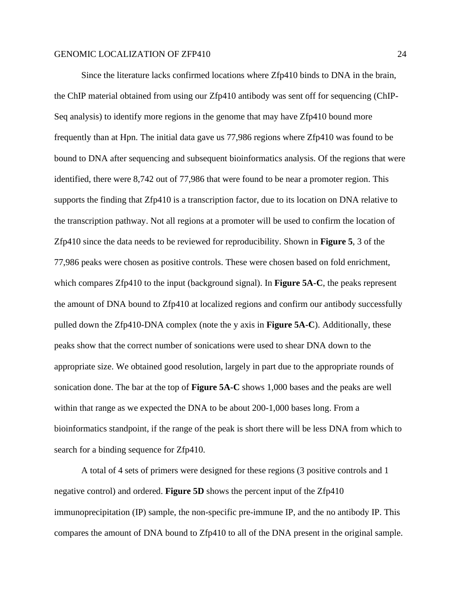Since the literature lacks confirmed locations where Zfp410 binds to DNA in the brain, the ChIP material obtained from using our Zfp410 antibody was sent off for sequencing (ChIP-Seq analysis) to identify more regions in the genome that may have Zfp410 bound more frequently than at Hpn. The initial data gave us 77,986 regions where Zfp410 was found to be bound to DNA after sequencing and subsequent bioinformatics analysis. Of the regions that were identified, there were 8,742 out of 77,986 that were found to be near a promoter region. This supports the finding that Zfp410 is a transcription factor, due to its location on DNA relative to the transcription pathway. Not all regions at a promoter will be used to confirm the location of Zfp410 since the data needs to be reviewed for reproducibility. Shown in **Figure 5**, 3 of the 77,986 peaks were chosen as positive controls. These were chosen based on fold enrichment, which compares Zfp410 to the input (background signal). In **Figure 5A-C**, the peaks represent the amount of DNA bound to Zfp410 at localized regions and confirm our antibody successfully pulled down the Zfp410-DNA complex (note the y axis in **Figure 5A-C**). Additionally, these peaks show that the correct number of sonications were used to shear DNA down to the appropriate size. We obtained good resolution, largely in part due to the appropriate rounds of sonication done. The bar at the top of **Figure 5A-C** shows 1,000 bases and the peaks are well within that range as we expected the DNA to be about 200-1,000 bases long. From a bioinformatics standpoint, if the range of the peak is short there will be less DNA from which to search for a binding sequence for Zfp410.

A total of 4 sets of primers were designed for these regions (3 positive controls and 1 negative control) and ordered. **Figure 5D** shows the percent input of the Zfp410 immunoprecipitation (IP) sample, the non-specific pre-immune IP, and the no antibody IP. This compares the amount of DNA bound to Zfp410 to all of the DNA present in the original sample.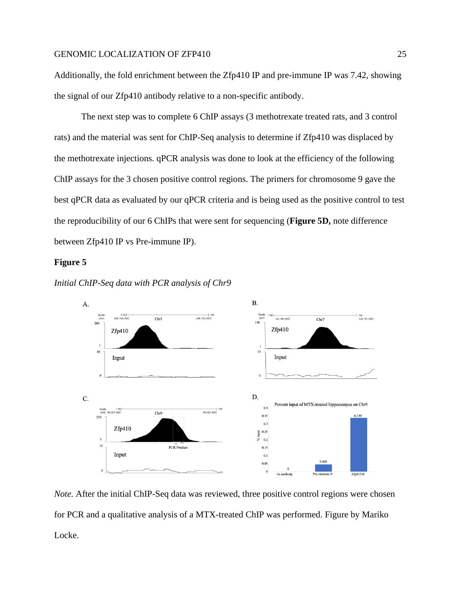Additionally, the fold enrichment between the Zfp410 IP and pre-immune IP was 7.42, showing the signal of our Zfp410 antibody relative to a non-specific antibody.

The next step was to complete 6 ChIP assays (3 methotrexate treated rats, and 3 control rats) and the material was sent for ChIP-Seq analysis to determine if Zfp410 was displaced by the methotrexate injections. qPCR analysis was done to look at the efficiency of the following ChIP assays for the 3 chosen positive control regions. The primers for chromosome 9 gave the best qPCR data as evaluated by our qPCR criteria and is being used as the positive control to test the reproducibility of our 6 ChIPs that were sent for sequencing (**Figure 5D,** note difference between Zfp410 IP vs Pre-immune IP).

## **Figure 5**





*Note.* After the initial ChIP-Seq data was reviewed, three positive control regions were chosen for PCR and a qualitative analysis of a MTX-treated ChIP was performed. Figure by Mariko Locke.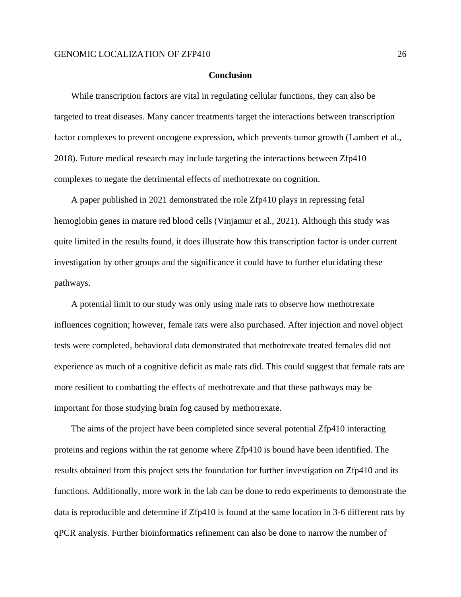#### **Conclusion**

While transcription factors are vital in regulating cellular functions, they can also be targeted to treat diseases. Many cancer treatments target the interactions between transcription factor complexes to prevent oncogene expression, which prevents tumor growth (Lambert et al., 2018). Future medical research may include targeting the interactions between Zfp410 complexes to negate the detrimental effects of methotrexate on cognition.

A paper published in 2021 demonstrated the role Zfp410 plays in repressing fetal hemoglobin genes in mature red blood cells (Vinjamur et al., 2021). Although this study was quite limited in the results found, it does illustrate how this transcription factor is under current investigation by other groups and the significance it could have to further elucidating these pathways.

A potential limit to our study was only using male rats to observe how methotrexate influences cognition; however, female rats were also purchased. After injection and novel object tests were completed, behavioral data demonstrated that methotrexate treated females did not experience as much of a cognitive deficit as male rats did. This could suggest that female rats are more resilient to combatting the effects of methotrexate and that these pathways may be important for those studying brain fog caused by methotrexate.

The aims of the project have been completed since several potential Zfp410 interacting proteins and regions within the rat genome where Zfp410 is bound have been identified. The results obtained from this project sets the foundation for further investigation on Zfp410 and its functions. Additionally, more work in the lab can be done to redo experiments to demonstrate the data is reproducible and determine if Zfp410 is found at the same location in 3-6 different rats by qPCR analysis. Further bioinformatics refinement can also be done to narrow the number of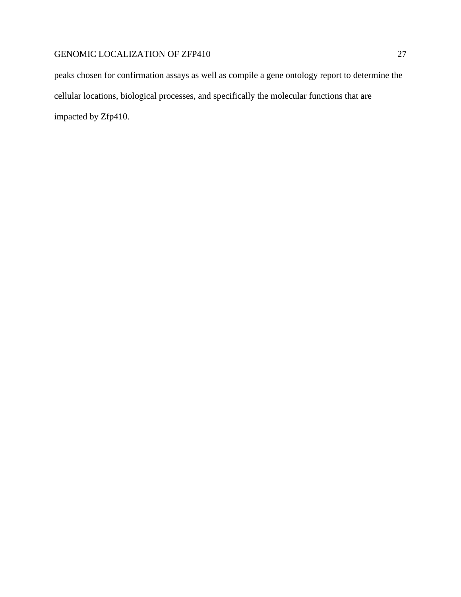peaks chosen for confirmation assays as well as compile a gene ontology report to determine the cellular locations, biological processes, and specifically the molecular functions that are impacted by Zfp410.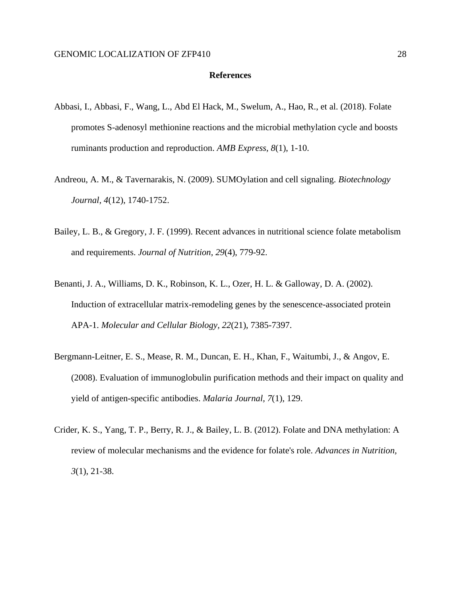#### **References**

- Abbasi, I., Abbasi, F., Wang, L., Abd El Hack, M., Swelum, A., Hao, R., et al. (2018). Folate promotes S-adenosyl methionine reactions and the microbial methylation cycle and boosts ruminants production and reproduction. *AMB Express, 8*(1), 1-10.
- Andreou, A. M., & Tavernarakis, N. (2009). SUMOylation and cell signaling. *Biotechnology Journal, 4*(12), 1740-1752.
- Bailey, L. B., & Gregory, J. F. (1999). Recent advances in nutritional science folate metabolism and requirements. *Journal of Nutrition, 29*(4), 779-92.
- Benanti, J. A., Williams, D. K., Robinson, K. L., Ozer, H. L. & Galloway, D. A. (2002). Induction of extracellular matrix-remodeling genes by the senescence-associated protein APA-1. *Molecular and Cellular Biology, 22*(21), 7385-7397.
- Bergmann-Leitner, E. S., Mease, R. M., Duncan, E. H., Khan, F., Waitumbi, J., & Angov, E. (2008). Evaluation of immunoglobulin purification methods and their impact on quality and yield of antigen-specific antibodies. *Malaria Journal, 7*(1), 129.
- Crider, K. S., Yang, T. P., Berry, R. J., & Bailey, L. B. (2012). Folate and DNA methylation: A review of molecular mechanisms and the evidence for folate's role. *Advances in Nutrition, 3*(1), 21-38.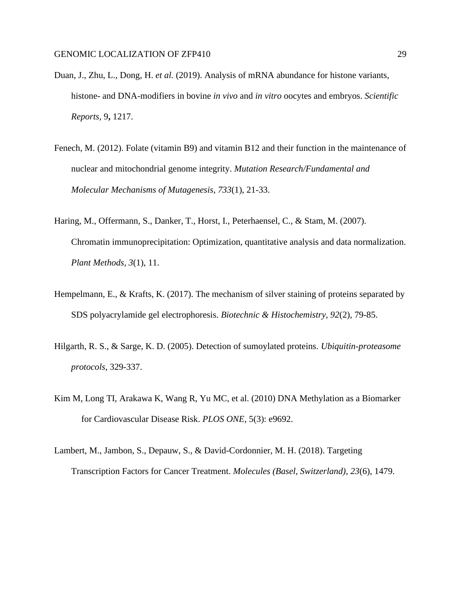- Duan, J., Zhu, L., Dong, H. *et al.* (2019). Analysis of mRNA abundance for histone variants, histone- and DNA-modifiers in bovine *in vivo* and *in vitro* oocytes and embryos. *Scientific Reports,* 9**,** 1217.
- Fenech, M. (2012). Folate (vitamin B9) and vitamin B12 and their function in the maintenance of nuclear and mitochondrial genome integrity. *Mutation Research/Fundamental and Molecular Mechanisms of Mutagenesis, 733*(1), 21-33.
- Haring, M., Offermann, S., Danker, T., Horst, I., Peterhaensel, C., & Stam, M. (2007). Chromatin immunoprecipitation: Optimization, quantitative analysis and data normalization. *Plant Methods, 3*(1), 11.
- Hempelmann, E., & Krafts, K. (2017). The mechanism of silver staining of proteins separated by SDS polyacrylamide gel electrophoresis. *Biotechnic & Histochemistry, 92*(2), 79-85.
- Hilgarth, R. S., & Sarge, K. D. (2005). Detection of sumoylated proteins. *Ubiquitin-proteasome protocols*, 329-337.
- Kim M, Long TI, Arakawa K, Wang R, Yu MC, et al. (2010) DNA Methylation as a Biomarker for Cardiovascular Disease Risk. *PLOS ONE*, 5(3): e9692.
- Lambert, M., Jambon, S., Depauw, S., & David-Cordonnier, M. H. (2018). Targeting Transcription Factors for Cancer Treatment. *Molecules (Basel, Switzerland)*, *23*(6), 1479.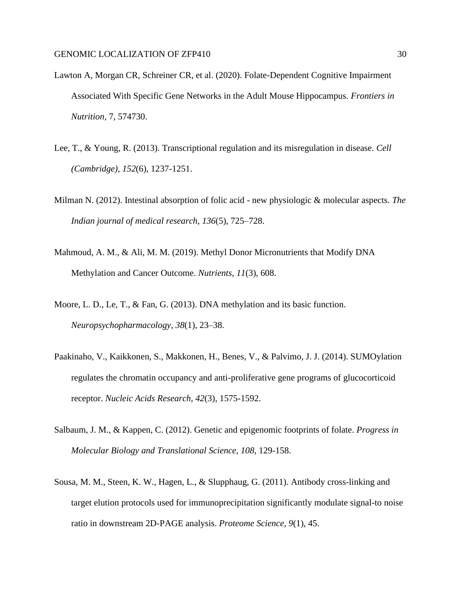- Lawton A, Morgan CR, Schreiner CR, et al. (2020). Folate-Dependent Cognitive Impairment Associated With Specific Gene Networks in the Adult Mouse Hippocampus. *Frontiers in Nutrition,* 7, 574730.
- Lee, T., & Young, R. (2013). Transcriptional regulation and its misregulation in disease. *Cell (Cambridge), 152*(6), 1237-1251.
- Milman N. (2012). Intestinal absorption of folic acid new physiologic & molecular aspects. *The Indian journal of medical research*, *136*(5), 725–728.
- Mahmoud, A. M., & Ali, M. M. (2019). Methyl Donor Micronutrients that Modify DNA Methylation and Cancer Outcome. *Nutrients*, *11*(3), 608.
- Moore, L. D., Le, T., & Fan, G. (2013). DNA methylation and its basic function. *Neuropsychopharmacology*, *38*(1), 23–38.
- Paakinaho, V., Kaikkonen, S., Makkonen, H., Benes, V., & Palvimo, J. J. (2014). SUMOylation regulates the chromatin occupancy and anti-proliferative gene programs of glucocorticoid receptor. *Nucleic Acids Research, 42*(3), 1575-1592.
- Salbaum, J. M., & Kappen, C. (2012). Genetic and epigenomic footprints of folate. *Progress in Molecular Biology and Translational Science, 108*, 129-158.
- Sousa, M. M., Steen, K. W., Hagen, L., & Slupphaug, G. (2011). Antibody cross-linking and target elution protocols used for immunoprecipitation significantly modulate signal-to noise ratio in downstream 2D-PAGE analysis. *Proteome Science, 9*(1), 45.